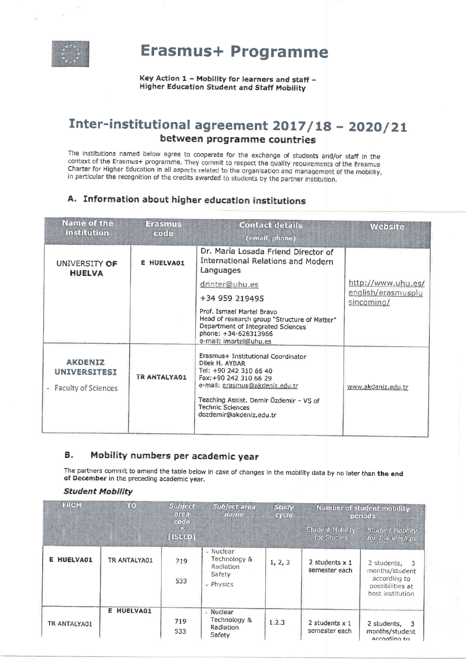

**Erasmus+ Programme** 

Key Action 1 - Mobility for learners and staff -**Higher Education Student and Staff Mobility** 

# Inter-institutional agreement 2017/18 - 2020/21 between programme countries

The institutions named below agree to cooperate for the exchange of students and/or staff in the context of the Erasmus+ programme. They commit to respect the quality requirements of the Erasmus Charter for Higher Education in all aspects related to the organisation and management of the mobility, In particular the recognition of the credits awarded to students by the partner institution.

## A. Information about higher education institutions

| Name of the<br>institution                                     | <b>Erasmus</b><br>code | <b>Contact details</b><br>(email, phone)                                                                                                                         | <b>Website</b>                           |
|----------------------------------------------------------------|------------------------|------------------------------------------------------------------------------------------------------------------------------------------------------------------|------------------------------------------|
| UNIVERSITY OF<br><b>HUELVA</b>                                 | <b>E HUELVAO1</b>      | Dr. María Losada Friend Director of<br><b>International Relations and Modern</b><br>Languages                                                                    |                                          |
|                                                                |                        | drinter@uhu.es                                                                                                                                                   | http://www.uhu.es/<br>english/erasmusplu |
|                                                                |                        | +34 959 219495                                                                                                                                                   | sincoming/                               |
|                                                                |                        | Prof. Ismael Martel Bravo<br>Head of research group "Structure of Matter"<br>Department of Integrated Sciences<br>phone: +34-628313966<br>e-mail: imartel@uhu.es |                                          |
| <b>AKDENIZ</b><br><b>UNIVERSITESI</b><br>- Faculty of Sciences | <b>TR ANTALYA01</b>    | Erasmus+ Institutional Coordinator<br>Dilek H. AYBAR<br>Tel: +90 242 310 66 40<br>Fax: +90 242 310 66 29<br>e-mail: erasmus@akdeniz.edu.tr                       | www.akdeniz.edu.tr                       |
|                                                                |                        | Teaching Assist. Demir Özdemir - VS of<br><b>Technic Sciences</b><br>dozdemir@akdeniz.edu.tr                                                                     |                                          |

#### **B.** Mobility numbers per academic year

The partners commit to amend the table below in case of changes in the mobility data by no later than the end of December in the preceding academic year.

#### **Student Mobility**

| <b>FROM</b>  | 10 <sup>°</sup> | <b>Subject</b><br><b>Subject area</b><br>area<br>name<br>code |                                                               | <b>Study</b><br><b>cycle</b> | <b>Number of student mobility</b><br>periods |                                                                                         |
|--------------|-----------------|---------------------------------------------------------------|---------------------------------------------------------------|------------------------------|----------------------------------------------|-----------------------------------------------------------------------------------------|
|              |                 | [ISCED]                                                       |                                                               |                              | <b>Student Mobility</b><br>for Studies       | <b>Student Mobility</b><br>for Traineeships                                             |
| E HUELVA01   | TR ANTALYA01    | 719<br>533                                                    | - Nuclear<br>Technology &<br>Radiation<br>Safety<br>- Physics | 1, 2, 3                      | 2 students $x$ 1<br>semester each            | 2 students. 3<br>months/student<br>according to<br>possibilities at<br>host institution |
| TR ANTALYA01 | E HUELVA01      | 719<br>533                                                    | - Nuclear<br>Technology &<br>Radiation<br>Safety              | 1.2.3                        | $2$ students $x 1$<br>semester each          | 2 students, 3<br>months/student<br>accoming to                                          |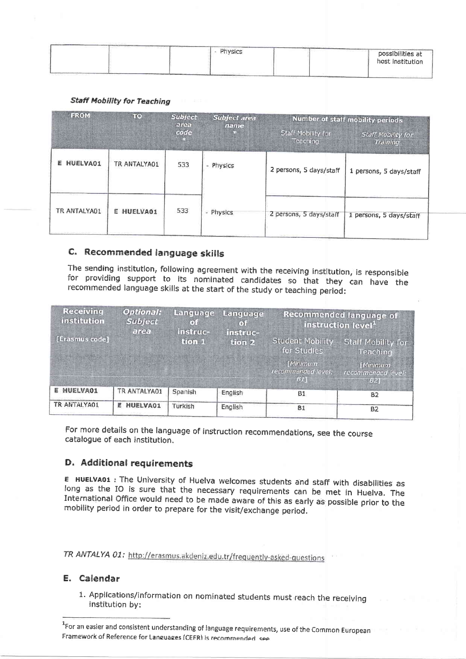| Physics                  | controlled the second control<br>possibilities at<br>host institution |
|--------------------------|-----------------------------------------------------------------------|
| <b>LEADY ENGINEERING</b> |                                                                       |

#### **Staff Mobility for Teaching**

| <b>FROM</b><br>$\overline{1}$ (0) |               | <b>Subject</b><br><b>Subject area</b><br>area |                                              | <b>Number of staff mobility periods</b> |                         |  |
|-----------------------------------|---------------|-----------------------------------------------|----------------------------------------------|-----------------------------------------|-------------------------|--|
|                                   | code<br>E 200 | name                                          | <b>Staff Mobility for</b><br><b>Teaching</b> | <b>Staff Mobility for</b><br>Ттаннпа    |                         |  |
| <b>HUELVA01</b><br>ε              | TR ANTALYA01  | 533                                           | - Physics                                    | 2 persons, 5 days/staff                 | 1 persons, 5 days/staff |  |
| TR ANTALYA01                      | E HUELVA01    | 533                                           | - Physics                                    | 2 persons, 5 days/staff                 | 1 persons, 5 days/staff |  |

## C. Recommended language skills

The sending institution, following agreement with the receiving institution, is responsible for providing support to its nominated candidates so that they can have the recommended language skills at the start of the study or teaching period:

| Receiving<br>institution | <b>Optional:</b><br>Language<br><b>Subject</b><br>o i<br>area<br><b>ITISTING</b> |         | Language<br>(1)<br>instruc- | <b>Recommended language of</b><br>instruction level |                                       |
|--------------------------|----------------------------------------------------------------------------------|---------|-----------------------------|-----------------------------------------------------|---------------------------------------|
| [Erasmus code]           |                                                                                  | tron i  | tion <sub>2</sub>           | <b>Student Mobility</b><br>for Studies              | <b>Staff Mobility for</b><br>Teaching |
|                          |                                                                                  |         |                             | [Minimum<br>recommended level.<br>511               | [Minimum]<br>recommended level<br>BZ  |
| <b>E HUELVAO1</b>        | TR ANTALYA01                                                                     | Spanish | English                     | <b>B1</b>                                           | <b>B2</b>                             |
| TR ANTALYA01             | <b>HUELVA01</b><br>E                                                             | Turkish | English                     | <b>B1</b>                                           | <b>B2</b>                             |

For more details on the language of instruction recommendations, see the course catalogue of each institution.

## D. Additional requirements

E HUELVA01 : The University of Huelva welcomes students and staff with disabilities as long as the IO is sure that the necessary requirements can be met in Huelva. The International Office would need to be made aware of this as early as possible prior to the mobility period in order to prepare for the visit/exchange period.

TR ANTALYA 01: http://erasmus.akdeniz.edu.tr/frequently-asked-questions

## E. Calendar

1. Applications/information on nominated students must reach the receiving institution by:

<sup>&</sup>lt;sup>1</sup>For an easier and consistent understanding of language requirements, use of the Common European Framework of Reference for Languages (CEFR) is recommended see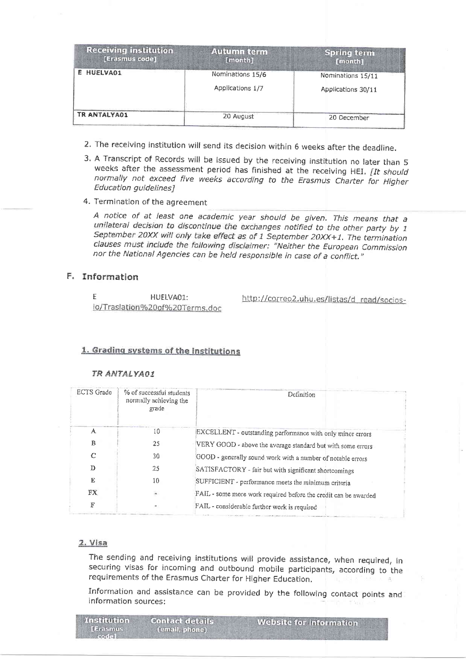| <b>Receiving institution</b><br>[Erasmus code] | <b>Autumn term</b><br>[month]        | <b>Spring term</b><br>[month]           |
|------------------------------------------------|--------------------------------------|-----------------------------------------|
| E HUELVA01                                     | Nominations 15/6<br>Applications 1/7 | Nominations 15/11<br>Applications 30/11 |
| TR ANTALYA01                                   | 20 August                            | 20 December                             |

- 2. The receiving institution will send its decision within 6 weeks after the deadline.
- 3. A Transcript of Records will be issued by the receiving institution no later than 5 weeks after the assessment period has finished at the receiving HEI. [It should normally not exceed five weeks according to the Erasmus Charter for Higher Education guidelines]
- 4. Termination of the agreement

A notice of at least one academic year should be given. This means that a unilateral decision to discontinue the exchanges notified to the other party by 1 September 20XX will only take effect as of 1 September 20XX+1. The termination clauses must include the following disclaimer: "Neither the European Commission nor the National Agencies can be held responsible in case of a conflict."

## F. Information

F HUELVA01: io/Traslation%20of%20Terms.doc http://correo2.uhu.es/listas/d\_read/socios-

## 1. Grading systems of the institutions

### TR ANTALYAO1

| <b>ECTS</b> Grade<br>% of successful students<br>normally achieving the<br>grade |                                                           | Definition                                                      |
|----------------------------------------------------------------------------------|-----------------------------------------------------------|-----------------------------------------------------------------|
| A                                                                                | 10                                                        | EXCELLENT - outstanding performance with only minor errors      |
| B                                                                                | 25                                                        | VERY GOOD - above the average standard but with some errors     |
| $\mathcal{C}$                                                                    | 30                                                        | GOOD - generally sound work with a number of notable errors     |
| D                                                                                | 25                                                        | SATISFACTORY - fair but with significant shortcomings           |
| E                                                                                | 10<br>SUFFICIENT - performance meets the minimum criteria |                                                                 |
| FX                                                                               |                                                           | FAIL - some more work required before the credit can be awarded |
| F                                                                                |                                                           | FAIL - considerable further work is required                    |

#### 2. Visa

The sending and receiving institutions will provide assistance, when required, in securing visas for incoming and outbound mobile participants, according to the requirements of the Erasmus Charter for Higher Education.

Information and assistance can be provided by the following contact points and information sources:

| Institution                     | <b>Contact details</b> | <b>Website for information</b> |
|---------------------------------|------------------------|--------------------------------|
| <b>ITABSmus</b><br>のまいさいてん アーミー | (email, phone)         |                                |